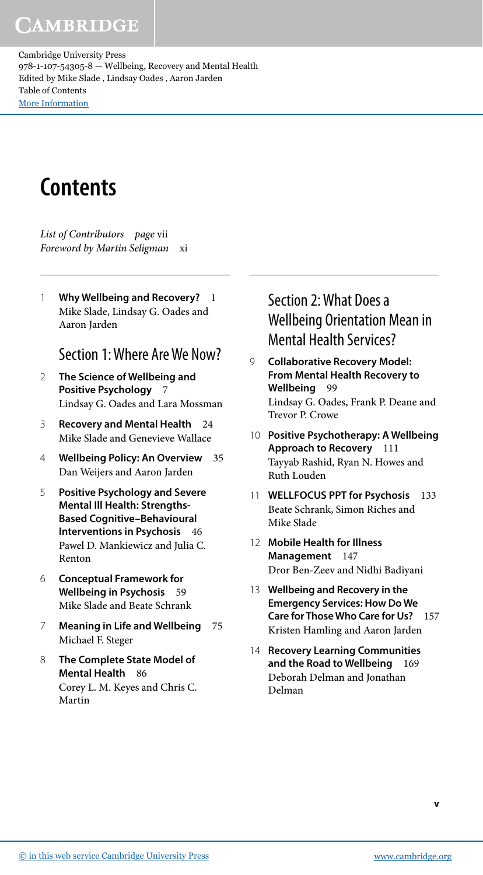## **CAMBRIDGE**

Cambridge University Press 978-1-107-54305-8 — Wellbeing, Recovery and Mental Health Edited by Mike Slade , Lindsay Oades , Aaron Jarden Table of Contents [More Information](www.cambridge.org/9781107543058)

# **Contents**

List of Contributors page vii Foreword by Martin Seligman xi

 1 **Why Wellbeing and Recovery?** 1 Mike Slade, Lindsay G. Oades and Aaron Jarden

#### Section 1: Where Are We Now?

- 2 **The Science of Wellbeing and Positive Psychology** 7 Lindsay G. Oades and Lara Mossman
- 3 **Recovery and Mental Health** 24 Mike Slade and Genevieve Wallace
- 4 **Wellbeing Policy: An Overview** 35 Dan Weijers and Aaron Jarden
- 5 **Positive Psychology and Severe Mental Ill Health: Strengths-Based Cognitive–Behavioural Interventions in Psychosis** 46 Pawel D. Mankiewicz and Julia C. Renton
- 6 **Conceptual Framework for Wellbeing in Psychosis** 59 Mike Slade and Beate Schrank
- 7 **Meaning in Life and Wellbeing** 75 Michael F. Steger
- 8 **The Complete State Model of Mental Health** 86 Corey L. M. Keyes and Chris C. Martin

### Section 2: What Does a Wellbeing Orientation Mean in Mental Health Services?

- 9 **Collaborative Recovery Model: From Mental Health Recovery to Wellbeing** 99 Lindsay G. Oades, Frank P. Deane and Trevor P. Crowe
- 10 **Positive Psychotherapy: A Wellbeing Approach to Recovery** 111 Tayyab Rashid, Ryan N. Howes and Ruth Louden
- 11 **WELLFOCUS PPT for Psychosis** 133 Beate Schrank, Simon Riches and Mike Slade
- 12 **Mobile Health for Illness Management** 147 Dror Ben-Zeev and Nidhi Badiyani
- 13 **Wellbeing and Recovery in the Emergency Services: How Do We Care for Those Who Care for Us?** 157 Kristen Hamling and Aaron Jarden
- 14 **Recovery Learning Communities and the Road to Wellbeing** 169 Deborah Delman and Jonathan Delman

**v**